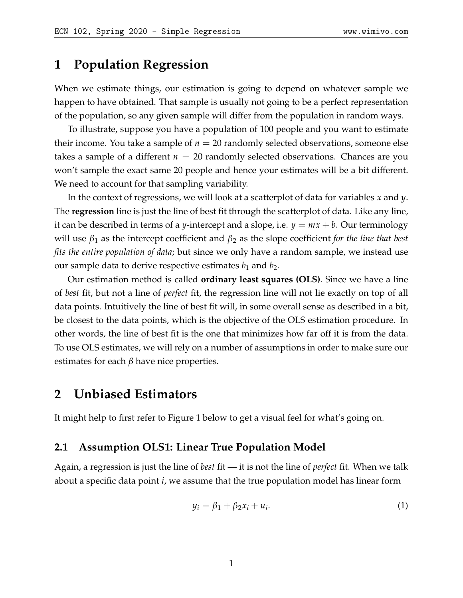### **1 Population Regression**

When we estimate things, our estimation is going to depend on whatever sample we happen to have obtained. That sample is usually not going to be a perfect representation of the population, so any given sample will differ from the population in random ways.

To illustrate, suppose you have a population of 100 people and you want to estimate their income. You take a sample of  $n = 20$  randomly selected observations, someone else takes a sample of a different  $n = 20$  randomly selected observations. Chances are you won't sample the exact same 20 people and hence your estimates will be a bit different. We need to account for that sampling variability.

In the context of regressions, we will look at a scatterplot of data for variables *x* and *y*. The **regression** line is just the line of best fit through the scatterplot of data. Like any line, it can be described in terms of a *y*-intercept and a slope, i.e.  $y = mx + b$ . Our terminology will use *β*<sup>1</sup> as the intercept coefficient and *β*<sup>2</sup> as the slope coefficient *for the line that best fits the entire population of data*; but since we only have a random sample, we instead use our sample data to derive respective estimates  $b_1$  and  $b_2$ .

Our estimation method is called **ordinary least squares (OLS)**. Since we have a line of *best* fit, but not a line of *perfect* fit, the regression line will not lie exactly on top of all data points. Intuitively the line of best fit will, in some overall sense as described in a bit, be closest to the data points, which is the objective of the OLS estimation procedure. In other words, the line of best fit is the one that minimizes how far off it is from the data. To use OLS estimates, we will rely on a number of assumptions in order to make sure our estimates for each  $\beta$  have nice properties.

### **2 Unbiased Estimators**

It might help to first refer to Figure [1](#page-3-0) below to get a visual feel for what's going on.

#### **2.1 Assumption OLS1: Linear True Population Model**

Again, a regression is just the line of *best* fit — it is not the line of *perfect* fit. When we talk about a specific data point *i*, we assume that the true population model has linear form

$$
y_i = \beta_1 + \beta_2 x_i + u_i. \tag{1}
$$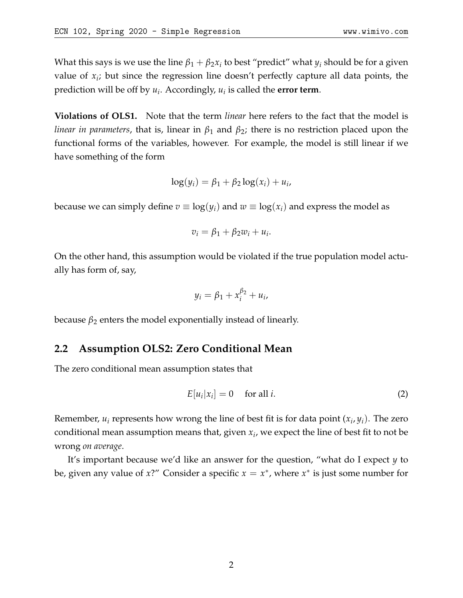**Violations of OLS1.** Note that the term *linear* here refers to the fact that the model is *linear in parameters*, that is, linear in *β*<sup>1</sup> and *β*2; there is no restriction placed upon the functional forms of the variables, however. For example, the model is still linear if we have something of the form

$$
\log(y_i) = \beta_1 + \beta_2 \log(x_i) + u_i,
$$

because we can simply define  $v \equiv \log(y_i)$  and  $w \equiv \log(x_i)$  and express the model as

$$
v_i = \beta_1 + \beta_2 w_i + u_i.
$$

On the other hand, this assumption would be violated if the true population model actually has form of, say,

$$
y_i = \beta_1 + x_i^{\beta_2} + u_i,
$$

because  $β_2$  enters the model exponentially instead of linearly.

### **2.2 Assumption OLS2: Zero Conditional Mean**

The zero conditional mean assumption states that

$$
E[u_i|x_i] = 0 \quad \text{for all } i. \tag{2}
$$

Remember, *u<sup>i</sup>* represents how wrong the line of best fit is for data point (*x<sup>i</sup>* , *yi*). The zero conditional mean assumption means that, given *x<sup>i</sup>* , we expect the line of best fit to not be wrong *on average*.

It's important because we'd like an answer for the question, "what do I expect *y* to be, given any value of *x*?" Consider a specific  $x = x^*$ , where  $x^*$  is just some number for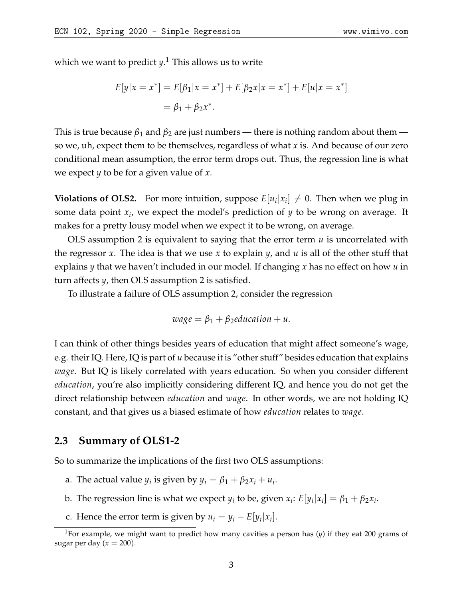which we want to predict *y*. [1](#page-2-0) This allows us to write

$$
E[y|x = x^*] = E[\beta_1|x = x^*] + E[\beta_2x|x = x^*] + E[u|x = x^*]
$$
  
=  $\beta_1 + \beta_2x^*$ .

This is true because  $\beta_1$  and  $\beta_2$  are just numbers — there is nothing random about them so we, uh, expect them to be themselves, regardless of what *x* is. And because of our zero conditional mean assumption, the error term drops out. Thus, the regression line is what we expect *y* to be for a given value of *x*.

**Violations of OLS2.** For more intuition, suppose  $E[u_i|x_i] \neq 0$ . Then when we plug in some data point *x<sup>i</sup>* , we expect the model's prediction of *y* to be wrong on average. It makes for a pretty lousy model when we expect it to be wrong, on average.

OLS assumption 2 is equivalent to saying that the error term *u* is uncorrelated with the regressor *x*. The idea is that we use *x* to explain *y*, and *u* is all of the other stuff that explains *y* that we haven't included in our model. If changing *x* has no effect on how *u* in turn affects *y*, then OLS assumption 2 is satisfied.

To illustrate a failure of OLS assumption 2, consider the regression

$$
wage = \beta_1 + \beta_2 education + u.
$$

I can think of other things besides years of education that might affect someone's wage, e.g. their IQ. Here, IQ is part of *u* because it is "other stuff" besides education that explains *wage*. But IQ is likely correlated with years education. So when you consider different *education*, you're also implicitly considering different IQ, and hence you do not get the direct relationship between *education* and *wage*. In other words, we are not holding IQ constant, and that gives us a biased estimate of how *education* relates to *wage*.

#### **2.3 Summary of OLS1-2**

So to summarize the implications of the first two OLS assumptions:

- a. The actual value  $y_i$  is given by  $y_i = \beta_1 + \beta_2 x_i + u_i$ .
- b. The regression line is what we expect  $y_i$  to be, given  $x_i$ :  $E[y_i|x_i] = \beta_1 + \beta_2 x_i$ .
- c. Hence the error term is given by  $u_i = y_i E[y_i|x_i]$ .

<span id="page-2-0"></span><sup>1</sup>For example, we might want to predict how many cavities a person has (*y*) if they eat 200 grams of sugar per day  $(x = 200)$ .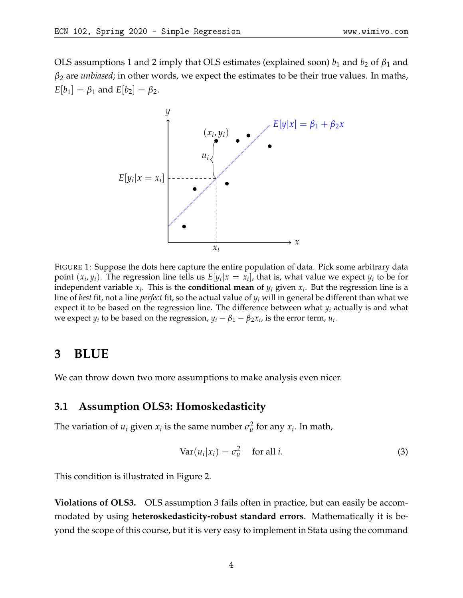<span id="page-3-0"></span>OLS assumptions 1 and 2 imply that OLS estimates (explained soon)  $b_1$  and  $b_2$  of  $\beta_1$  and *β*<sup>2</sup> are *unbiased*; in other words, we expect the estimates to be their true values. In maths,  $E[b_1] = \beta_1$  and  $E[b_2] = \beta_2$ .



FIGURE 1: Suppose the dots here capture the entire population of data. Pick some arbitrary data point  $(x_i, y_i)$ . The regression line tells us  $E[y_i | x = x_i]$ , that is, what value we expect  $y_i$  to be for independent variable  $x_i$ . This is the **conditional mean** of  $y_i$  given  $x_i$ . But the regression line is a line of *best* fit, not a line *perfect* fit, so the actual value of *y<sup>i</sup>* will in general be different than what we expect it to be based on the regression line. The difference between what *y<sup>i</sup>* actually is and what we expect  $y_i$  to be based on the regression,  $y_i - \beta_1 - \beta_2 x_i$ , is the error term,  $u_i$ .

### **3 BLUE**

We can throw down two more assumptions to make analysis even nicer.

#### **3.1 Assumption OLS3: Homoskedasticity**

The variation of  $u_i$  given  $x_i$  is the same number  $\sigma_u^2$  for any  $x_i$ . In math,

$$
Var(u_i|x_i) = \sigma_u^2 \quad \text{for all } i. \tag{3}
$$

This condition is illustrated in Figure [2.](#page-4-0)

**Violations of OLS3.** OLS assumption 3 fails often in practice, but can easily be accommodated by using **heteroskedasticity-robust standard errors**. Mathematically it is beyond the scope of this course, but it is very easy to implement in Stata using the command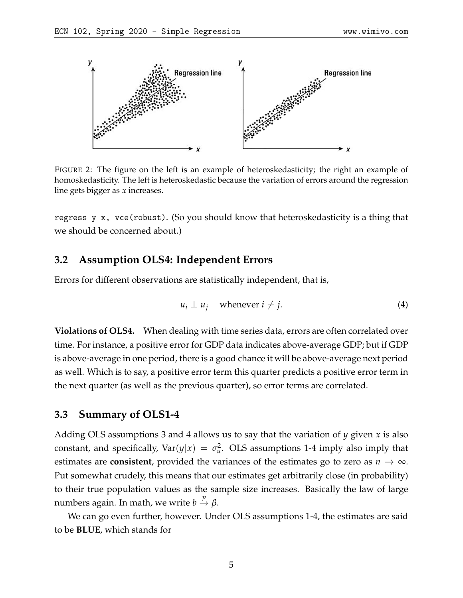<span id="page-4-0"></span>

FIGURE 2: The figure on the left is an example of heteroskedasticity; the right an example of homoskedasticity. The left is heteroskedastic because the variation of errors around the regression line gets bigger as *x* increases.

regress y x, vce(robust). (So you should know that heteroskedasticity is a thing that we should be concerned about.)

#### **3.2 Assumption OLS4: Independent Errors**

Errors for different observations are statistically independent, that is,

$$
u_i \perp u_j \quad \text{whenever } i \neq j. \tag{4}
$$

**Violations of OLS4.** When dealing with time series data, errors are often correlated over time. For instance, a positive error for GDP data indicates above-average GDP; but if GDP is above-average in one period, there is a good chance it will be above-average next period as well. Which is to say, a positive error term this quarter predicts a positive error term in the next quarter (as well as the previous quarter), so error terms are correlated.

#### **3.3 Summary of OLS1-4**

Adding OLS assumptions 3 and 4 allows us to say that the variation of *y* given *x* is also constant, and specifically,  $Var(y|x) = \sigma_u^2$ . OLS assumptions 1-4 imply also imply that estimates are **consistent**, provided the variances of the estimates go to zero as  $n \to \infty$ . Put somewhat crudely, this means that our estimates get arbitrarily close (in probability) to their true population values as the sample size increases. Basically the law of large numbers again. In math, we write  $b \stackrel{p}{\to} β$ .

We can go even further, however. Under OLS assumptions 1-4, the estimates are said to be **BLUE**, which stands for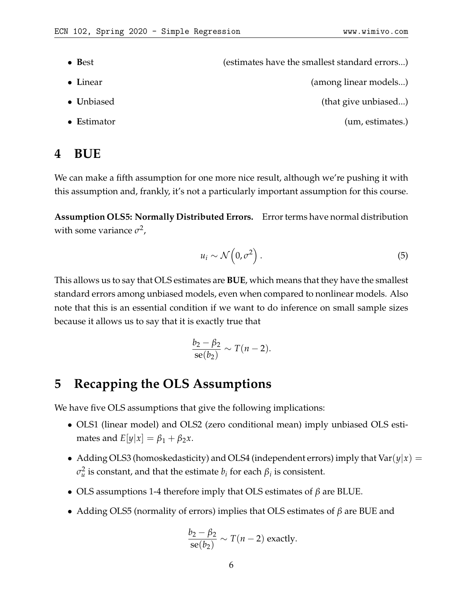- Best **b**est **b** (estimates have the smallest standard errors...) • Linear (among linear models...)
- **Unbiased** (that give unbiased...) • **E**stimator (um, estimates.)

# **4 BUE**

We can make a fifth assumption for one more nice result, although we're pushing it with this assumption and, frankly, it's not a particularly important assumption for this course.

**Assumption OLS5: Normally Distributed Errors.** Error terms have normal distribution with some variance  $\sigma^2$ ,

$$
u_i \sim \mathcal{N}\left(0, \sigma^2\right). \tag{5}
$$

This allows us to say that OLS estimates are **BUE**, which means that they have the smallest standard errors among unbiased models, even when compared to nonlinear models. Also note that this is an essential condition if we want to do inference on small sample sizes because it allows us to say that it is exactly true that

$$
\frac{b_2-\beta_2}{\text{se}(b_2)} \sim T(n-2).
$$

# **5 Recapping the OLS Assumptions**

We have five OLS assumptions that give the following implications:

- OLS1 (linear model) and OLS2 (zero conditional mean) imply unbiased OLS estimates and  $E[y|x] = \beta_1 + \beta_2 x$ .
- Adding OLS3 (homoskedasticity) and OLS4 (independent errors) imply that  $Var(y|x)$  =  $\sigma_u^2$  is constant, and that the estimate  $b_i$  for each  $\beta_i$  is consistent.
- OLS assumptions 1-4 therefore imply that OLS estimates of *β* are BLUE.
- Adding OLS5 (normality of errors) implies that OLS estimates of *β* are BUE and

$$
\frac{b_2 - \beta_2}{\text{se}(b_2)} \sim T(n-2) \text{ exactly.}
$$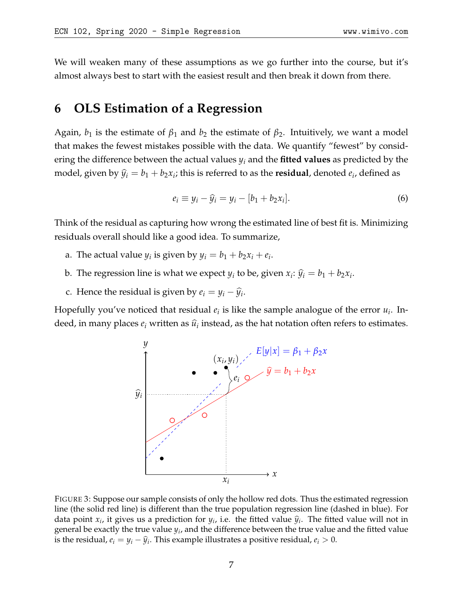We will weaken many of these assumptions as we go further into the course, but it's almost always best to start with the easiest result and then break it down from there.

### **6 OLS Estimation of a Regression**

Again,  $b_1$  is the estimate of  $\beta_1$  and  $b_2$  the estimate of  $\beta_2$ . Intuitively, we want a model that makes the fewest mistakes possible with the data. We quantify "fewest" by considering the difference between the actual values *y<sup>i</sup>* and the **fitted values** as predicted by the model, given by  $\widehat{y}_i = b_1 + b_2 x_i$ ; this is referred to as the **residual**, denoted  $e_i$ , defined as

$$
e_i \equiv y_i - \widehat{y}_i = y_i - [b_1 + b_2 x_i]. \tag{6}
$$

Think of the residual as capturing how wrong the estimated line of best fit is. Minimizing residuals overall should like a good idea. To summarize,

- a. The actual value  $y_i$  is given by  $y_i = b_1 + b_2x_i + e_i$ .
- b. The regression line is what we expect  $y_i$  to be, given  $x_i$ :  $\widehat{y}_i = b_1 + b_2 x_i$ .
- c. Hence the residual is given by  $e_i = y_i \widehat{y}_i$ .

<span id="page-6-0"></span>Hopefully you've noticed that residual  $e_i$  is like the sample analogue of the error  $u_i$ . Indeed, in many places  $e_i$  written as  $\widehat{u}_i$  instead, as the hat notation often refers to estimates.



FIGURE 3: Suppose our sample consists of only the hollow red dots. Thus the estimated regression line (the solid red line) is different than the true population regression line (dashed in blue). For data point  $x_i$ , it gives us a prediction for  $y_i$ , i.e. the fitted value  $\hat{y}_i$ . The fitted value will not in concrete to exactly the two value  $y_i$  and the difference between the two value and the fitted value general be exactly the true value  $y_i$ , and the difference between the true value and the fitted value is the residual,  $e_i = y_i - \widehat{y}_i$ . This example illustrates a positive residual,  $e_i > 0$ .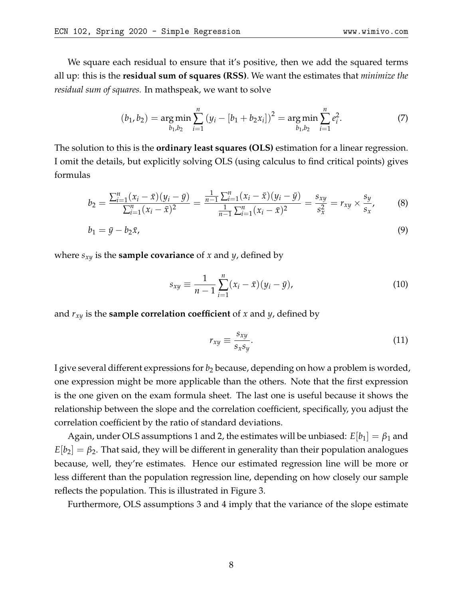We square each residual to ensure that it's positive, then we add the squared terms all up: this is the **residual sum of squares (RSS)**. We want the estimates that *minimize the residual sum of squares.* In mathspeak, we want to solve

<span id="page-7-0"></span>
$$
(b_1, b_2) = \underset{b_1, b_2}{\arg \min} \sum_{i=1}^{n} (y_i - [b_1 + b_2 x_i])^2 = \underset{b_1, b_2}{\arg \min} \sum_{i=1}^{n} e_i^2.
$$
 (7)

The solution to this is the **ordinary least squares (OLS)** estimation for a linear regression. I omit the details, but explicitly solving OLS (using calculus to find critical points) gives formulas

$$
b_2 = \frac{\sum_{i=1}^n (x_i - \bar{x})(y_i - \bar{y})}{\sum_{i=1}^n (x_i - \bar{x})^2} = \frac{\frac{1}{n-1} \sum_{i=1}^n (x_i - \bar{x})(y_i - \bar{y})}{\frac{1}{n-1} \sum_{i=1}^n (x_i - \bar{x})^2} = \frac{s_{xy}}{s_x^2} = r_{xy} \times \frac{s_y}{s_x},
$$
(8)

$$
b_1 = \bar{y} - b_2 \bar{x},\tag{9}
$$

where *sxy* is the **sample covariance** of *x* and *y*, defined by

$$
s_{xy} \equiv \frac{1}{n-1} \sum_{i=1}^{n} (x_i - \bar{x})(y_i - \bar{y}), \qquad (10)
$$

and  $r_{xy}$  is the **sample correlation coefficient** of *x* and *y*, defined by

$$
r_{xy} \equiv \frac{s_{xy}}{s_x s_y}.\tag{11}
$$

I give several different expressions for *b*<sup>2</sup> because, depending on how a problem is worded, one expression might be more applicable than the others. Note that the first expression is the one given on the exam formula sheet. The last one is useful because it shows the relationship between the slope and the correlation coefficient, specifically, you adjust the correlation coefficient by the ratio of standard deviations.

Again, under OLS assumptions 1 and 2, the estimates will be unbiased:  $E\lvert b_1 \rvert = \beta_1$  and  $E[b_2] = \beta_2$ . That said, they will be different in generality than their population analogues because, well, they're estimates. Hence our estimated regression line will be more or less different than the population regression line, depending on how closely our sample reflects the population. This is illustrated in Figure [3.](#page-6-0)

Furthermore, OLS assumptions 3 and 4 imply that the variance of the slope estimate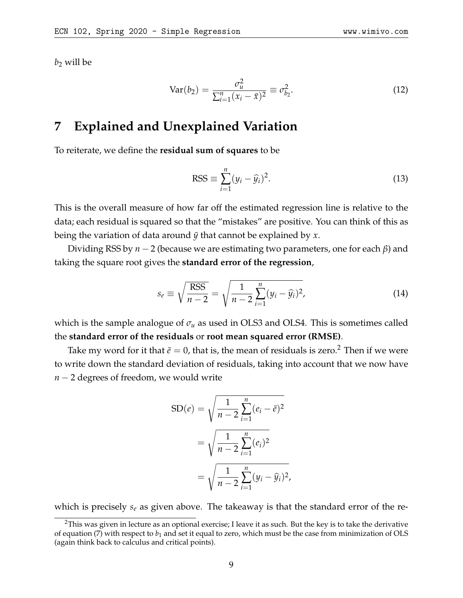$b_2$  will be

$$
Var(b_2) = \frac{\sigma_u^2}{\sum_{i=1}^n (x_i - \bar{x})^2} \equiv \sigma_{b_2}^2.
$$
 (12)

### **7 Explained and Unexplained Variation**

To reiterate, we define the **residual sum of squares** to be

$$
RSS \equiv \sum_{i=1}^{n} (y_i - \widehat{y}_i)^2.
$$
 (13)

This is the overall measure of how far off the estimated regression line is relative to the data; each residual is squared so that the "mistakes" are positive. You can think of this as being the variation of data around  $\bar{y}$  that cannot be explained by x.

Dividing RSS by *n* − 2 (because we are estimating two parameters, one for each *β*) and taking the square root gives the **standard error of the regression**,

$$
s_e \equiv \sqrt{\frac{\text{RSS}}{n-2}} = \sqrt{\frac{1}{n-2} \sum_{i=1}^{n} (y_i - \widehat{y}_i)^2},
$$
(14)

which is the sample analogue of  $\sigma_u$  as used in OLS3 and OLS4. This is sometimes called the **standard error of the residuals** or **root mean squared error (RMSE)**.

Take my word for it that  $\bar{e} = 0$ , that is, the mean of residuals is zero.<sup>[2](#page-8-0)</sup> Then if we were to write down the standard deviation of residuals, taking into account that we now have *n* − 2 degrees of freedom, we would write

$$
SD(e) = \sqrt{\frac{1}{n-2} \sum_{i=1}^{n} (e_i - \bar{e})^2}
$$

$$
= \sqrt{\frac{1}{n-2} \sum_{i=1}^{n} (e_i)^2}
$$

$$
= \sqrt{\frac{1}{n-2} \sum_{i=1}^{n} (y_i - \hat{y}_i)^2},
$$

which is precisely *s<sup>e</sup>* as given above. The takeaway is that the standard error of the re-

<span id="page-8-0"></span> $2$ This was given in lecture as an optional exercise; I leave it as such. But the key is to take the derivative of equation [\(7\)](#page-7-0) with respect to *b*<sup>1</sup> and set it equal to zero, which must be the case from minimization of OLS (again think back to calculus and critical points).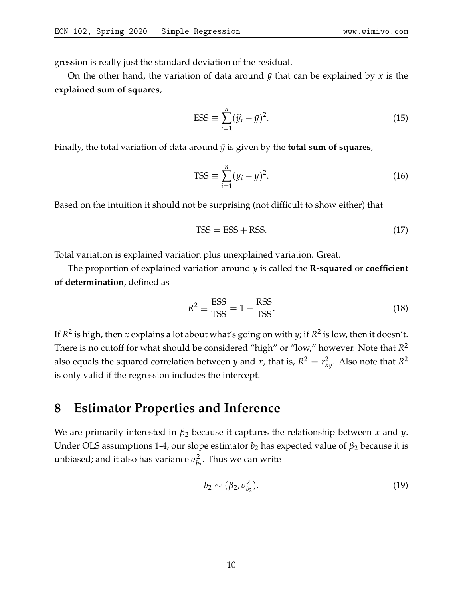gression is really just the standard deviation of the residual.

On the other hand, the variation of data around  $\bar{y}$  that can be explained by x is the **explained sum of squares**,

$$
ESS \equiv \sum_{i=1}^{n} (\widehat{y}_i - \bar{y})^2.
$$
 (15)

Finally, the total variation of data around  $\bar{y}$  is given by the **total sum of squares**,

$$
TSS \equiv \sum_{i=1}^{n} (y_i - \bar{y})^2.
$$
 (16)

Based on the intuition it should not be surprising (not difficult to show either) that

$$
TSS = ESS + RSS.\t(17)
$$

Total variation is explained variation plus unexplained variation. Great.

The proportion of explained variation around  $\bar{y}$  is called the **R-squared** or **coefficient of determination**, defined as

$$
R^2 \equiv \frac{\text{ESS}}{\text{TSS}} = 1 - \frac{\text{RSS}}{\text{TSS}}.\tag{18}
$$

If *R* 2 is high, then *x* explains a lot about what's going on with *y*; if *R* 2 is low, then it doesn't. There is no cutoff for what should be considered "high" or "low," however. Note that *R* 2 also equals the squared correlation between *y* and *x*, that is,  $R^2 = r_{xy}^2$ . Also note that  $R^2$ is only valid if the regression includes the intercept.

## **8 Estimator Properties and Inference**

We are primarily interested in *β*<sup>2</sup> because it captures the relationship between *x* and *y*. Under OLS assumptions 1-4, our slope estimator  $b_2$  has expected value of  $\beta_2$  because it is unbiased; and it also has variance  $\sigma _{b}^{2}$  $\tilde{b}_2$ . Thus we can write

$$
b_2 \sim (\beta_2, \sigma_{b_2}^2). \tag{19}
$$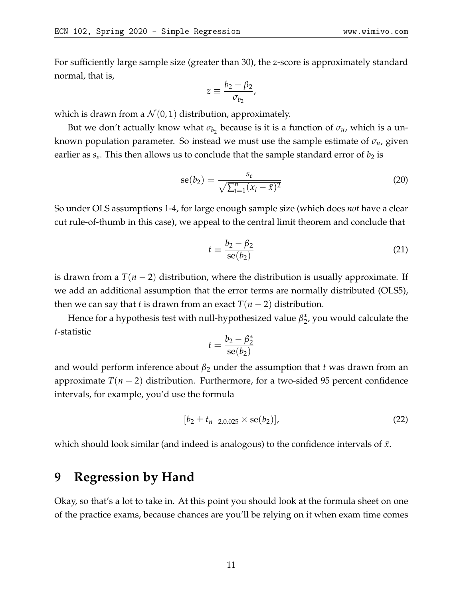For sufficiently large sample size (greater than 30), the *z*-score is approximately standard normal, that is,

$$
z \equiv \frac{b_2 - \beta_2}{\sigma_{b_2}},
$$

which is drawn from a  $\mathcal{N}(0, 1)$  distribution, approximately.

But we don't actually know what  $\sigma_{b_2}$  because is it is a function of  $\sigma_u$ , which is a unknown population parameter. So instead we must use the sample estimate of *σu*, given earlier as  $s_e$ . This then allows us to conclude that the sample standard error of  $b_2$  is

$$
se(b_2) = \frac{s_e}{\sqrt{\sum_{i=1}^n (x_i - \bar{x})^2}}
$$
(20)

So under OLS assumptions 1-4, for large enough sample size (which does *not* have a clear cut rule-of-thumb in this case), we appeal to the central limit theorem and conclude that

$$
t \equiv \frac{b_2 - \beta_2}{\text{se}(b_2)}\tag{21}
$$

is drawn from a  $T(n-2)$  distribution, where the distribution is usually approximate. If we add an additional assumption that the error terms are normally distributed (OLS5), then we can say that *t* is drawn from an exact  $T(n-2)$  distribution.

Hence for a hypothesis test with null-hypothesized value  $β_2^*$  $_2^*$ , you would calculate the *t*-statistic

$$
t = \frac{b_2 - \beta_2^*}{\mathrm{se}(b_2)}
$$

and would perform inference about  $\beta_2$  under the assumption that *t* was drawn from an approximate *T*(*n* − 2) distribution. Furthermore, for a two-sided 95 percent confidence intervals, for example, you'd use the formula

$$
[b_2 \pm t_{n-2,0.025} \times \text{se}(b_2)], \qquad (22)
$$

which should look similar (and indeed is analogous) to the confidence intervals of  $\bar{x}$ .

### **9 Regression by Hand**

Okay, so that's a lot to take in. At this point you should look at the formula sheet on one of the practice exams, because chances are you'll be relying on it when exam time comes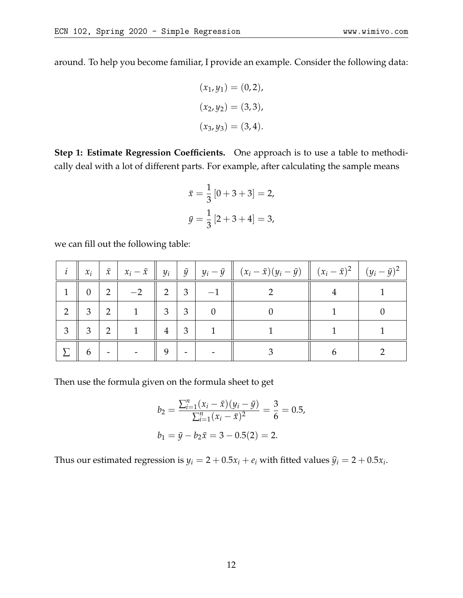around. To help you become familiar, I provide an example. Consider the following data:

$$
(x_1, y_1) = (0, 2),
$$
  

$$
(x_2, y_2) = (3, 3),
$$
  

$$
(x_3, y_3) = (3, 4).
$$

**Step 1: Estimate Regression Coefficients.** One approach is to use a table to methodically deal with a lot of different parts. For example, after calculating the sample means

$$
\bar{x} = \frac{1}{3} [0 + 3 + 3] = 2,
$$
  

$$
\bar{y} = \frac{1}{3} [2 + 3 + 4] = 3,
$$

we can fill out the following table:

|                | $x_i$          | $\bar{x}$ |      |                                     |                |                | $\left\ x_i-\bar{x}\right\ y_i\left\ \bar{y}\right\ y_i-\bar{y}\right\  (x_i-\bar{x})(y_i-\bar{y})\left\  (x_i-\bar{x})^2\right\  (y_i-\bar{y})^2$ |  |
|----------------|----------------|-----------|------|-------------------------------------|----------------|----------------|----------------------------------------------------------------------------------------------------------------------------------------------------|--|
| $\mathbf{1}$   | $\overline{0}$ | 2         | $-2$ | 2                                   | $\overline{3}$ |                |                                                                                                                                                    |  |
| 2              | $\overline{3}$ | 2         |      | $\mathbb{E} \left[ -3 \right]^{-1}$ | $\overline{3}$ | $\overline{0}$ |                                                                                                                                                    |  |
| $\mathfrak{Z}$ | $\overline{3}$ | 2         |      | 4                                   | $\overline{3}$ |                |                                                                                                                                                    |  |
|                | 6              |           |      | 9                                   |                |                |                                                                                                                                                    |  |

Then use the formula given on the formula sheet to get

$$
b_2 = \frac{\sum_{i=1}^n (x_i - \bar{x})(y_i - \bar{y})}{\sum_{i=1}^n (x_i - \bar{x})^2} = \frac{3}{6} = 0.5,
$$
  

$$
b_1 = \bar{y} - b_2 \bar{x} = 3 - 0.5(2) = 2.
$$

Thus our estimated regression is  $y_i = 2 + 0.5x_i + e_i$  with fitted values  $\hat{y}_i = 2 + 0.5x_i$ .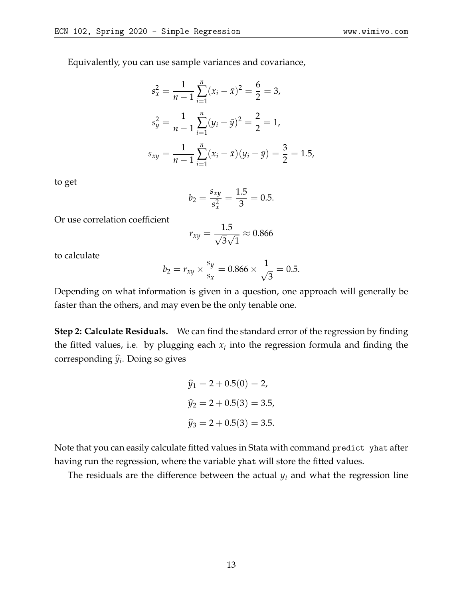Equivalently, you can use sample variances and covariance,

$$
s_x^2 = \frac{1}{n-1} \sum_{i=1}^n (x_i - \bar{x})^2 = \frac{6}{2} = 3,
$$
  
\n
$$
s_y^2 = \frac{1}{n-1} \sum_{i=1}^n (y_i - \bar{y})^2 = \frac{2}{2} = 1,
$$
  
\n
$$
s_{xy} = \frac{1}{n-1} \sum_{i=1}^n (x_i - \bar{x})(y_i - \bar{y}) = \frac{3}{2} = 1.5,
$$

to get

$$
b_2 = \frac{s_{xy}}{s_x^2} = \frac{1.5}{3} = 0.5.
$$

Or use correlation coefficient

$$
r_{xy} = \frac{1.5}{\sqrt{3}\sqrt{1}} \approx 0.866
$$

to calculate

$$
b_2 = r_{xy} \times \frac{s_y}{s_x} = 0.866 \times \frac{1}{\sqrt{3}} = 0.5.
$$

Depending on what information is given in a question, one approach will generally be faster than the others, and may even be the only tenable one.

**Step 2: Calculate Residuals.** We can find the standard error of the regression by finding the fitted values, i.e. by plugging each  $x_i$  into the regression formula and finding the corresponding  $\widehat{y}_i$ . Doing so gives

$$
\hat{y}_1 = 2 + 0.5(0) = 2,
$$
  

$$
\hat{y}_2 = 2 + 0.5(3) = 3.5,
$$
  

$$
\hat{y}_3 = 2 + 0.5(3) = 3.5.
$$

Note that you can easily calculate fitted values in Stata with command predict yhat after having run the regression, where the variable yhat will store the fitted values.

The residuals are the difference between the actual *y<sup>i</sup>* and what the regression line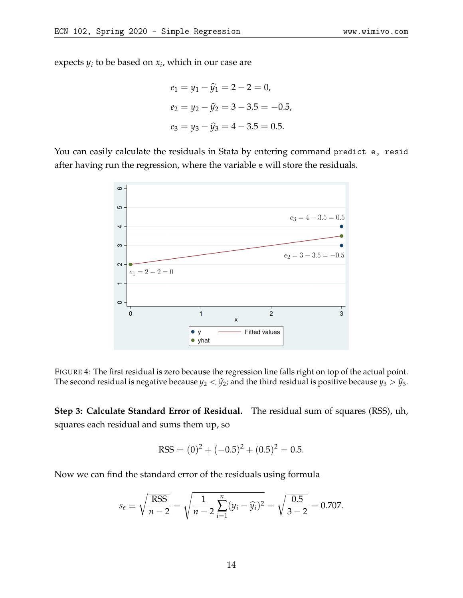expects *y<sup>i</sup>* to be based on *x<sup>i</sup>* , which in our case are

$$
e_1 = y_1 - \hat{y}_1 = 2 - 2 = 0,
$$
  
\n
$$
e_2 = y_2 - \hat{y}_2 = 3 - 3.5 = -0.5,
$$
  
\n
$$
e_3 = y_3 - \hat{y}_3 = 4 - 3.5 = 0.5.
$$

You can easily calculate the residuals in Stata by entering command predict e, resid after having run the regression, where the variable e will store the residuals.



FIGURE 4: The first residual is zero because the regression line falls right on top of the actual point. The second residual is negative because  $y_2 < \hat{y}_2$ ; and the third residual is positive because  $y_3 > \hat{y}_3$ .

**Step 3: Calculate Standard Error of Residual.** The residual sum of squares (RSS), uh, squares each residual and sums them up, so

$$
RSS = (0)^{2} + (-0.5)^{2} + (0.5)^{2} = 0.5.
$$

Now we can find the standard error of the residuals using formula

$$
s_e \equiv \sqrt{\frac{\text{RSS}}{n-2}} = \sqrt{\frac{1}{n-2} \sum_{i=1}^n (y_i - \widehat{y}_i)^2} = \sqrt{\frac{0.5}{3-2}} = 0.707.
$$